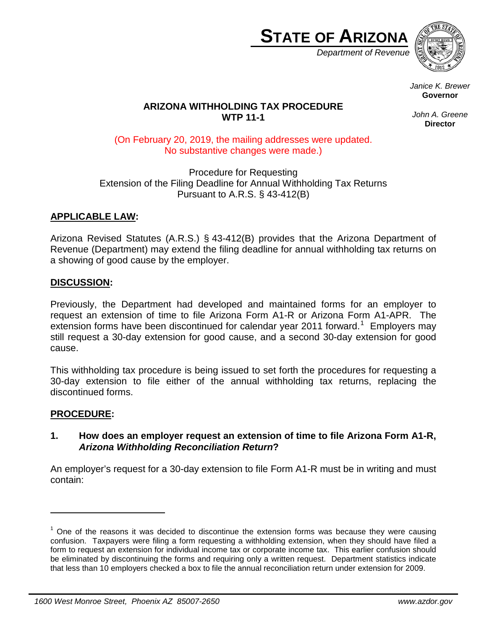

*Department of Revenue*



*Janice K. Brewer* **Governor**

# **ARIZONA WITHHOLDING TAX PROCEDURE WTP 11-1**

*John A. Greene* **Director**

(On February 20, 2019, the mailing addresses were updated. No substantive changes were made.)

Procedure for Requesting Extension of the Filing Deadline for Annual Withholding Tax Returns Pursuant to A.R.S. § 43-412(B)

# **APPLICABLE LAW:**

Arizona Revised Statutes (A.R.S.) § 43-412(B) provides that the Arizona Department of Revenue (Department) may extend the filing deadline for annual withholding tax returns on a showing of good cause by the employer.

## **DISCUSSION:**

Previously, the Department had developed and maintained forms for an employer to request an extension of time to file Arizona Form A1-R or Arizona Form A1-APR. The extension forms have been discontinued for calendar year 20[1](#page-0-0)1 forward.<sup>1</sup> Employers may still request a 30-day extension for good cause, and a second 30-day extension for good cause.

This withholding tax procedure is being issued to set forth the procedures for requesting a 30-day extension to file either of the annual withholding tax returns, replacing the discontinued forms.

# **PROCEDURE:**

-

## **1. How does an employer request an extension of time to file Arizona Form A1-R,**  *Arizona Withholding Reconciliation Return***?**

An employer's request for a 30-day extension to file Form A1-R must be in writing and must contain:

<span id="page-0-0"></span> $1$  One of the reasons it was decided to discontinue the extension forms was because they were causing confusion. Taxpayers were filing a form requesting a withholding extension, when they should have filed a form to request an extension for individual income tax or corporate income tax. This earlier confusion should be eliminated by discontinuing the forms and requiring only a written request. Department statistics indicate that less than 10 employers checked a box to file the annual reconciliation return under extension for 2009.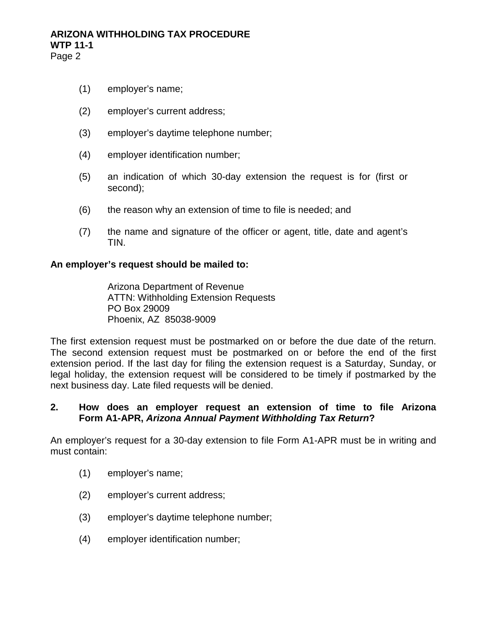- (1) employer's name;
- (2) employer's current address;
- (3) employer's daytime telephone number;
- (4) employer identification number;
- (5) an indication of which 30-day extension the request is for (first or second);
- (6) the reason why an extension of time to file is needed; and
- (7) the name and signature of the officer or agent, title, date and agent's TIN.

#### **An employer's request should be mailed to:**

Arizona Department of Revenue ATTN: Withholding Extension Requests PO Box 29009 Phoenix, AZ 85038-9009

The first extension request must be postmarked on or before the due date of the return. The second extension request must be postmarked on or before the end of the first extension period. If the last day for filing the extension request is a Saturday, Sunday, or legal holiday, the extension request will be considered to be timely if postmarked by the next business day. Late filed requests will be denied.

## **2. How does an employer request an extension of time to file Arizona Form A1-APR,** *Arizona Annual Payment Withholding Tax Return***?**

An employer's request for a 30-day extension to file Form A1-APR must be in writing and must contain:

- (1) employer's name;
- (2) employer's current address;
- (3) employer's daytime telephone number;
- (4) employer identification number;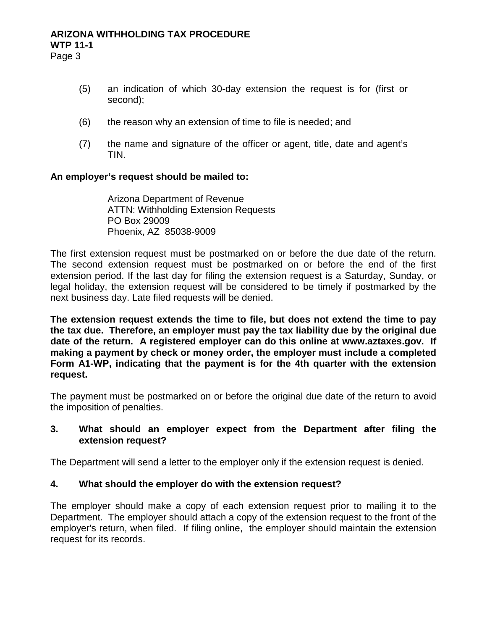# **ARIZONA WITHHOLDING TAX PROCEDURE WTP 11-1**

Page 3

- (5) an indication of which 30-day extension the request is for (first or second);
- (6) the reason why an extension of time to file is needed; and
- (7) the name and signature of the officer or agent, title, date and agent's TIN.

## **An employer's request should be mailed to:**

Arizona Department of Revenue ATTN: Withholding Extension Requests PO Box 29009 Phoenix, AZ 85038-9009

The first extension request must be postmarked on or before the due date of the return. The second extension request must be postmarked on or before the end of the first extension period. If the last day for filing the extension request is a Saturday, Sunday, or legal holiday, the extension request will be considered to be timely if postmarked by the next business day. Late filed requests will be denied.

**The extension request extends the time to file, but does not extend the time to pay the tax due. Therefore, an employer must pay the tax liability due by the original due date of the return. A registered employer can do this online at www.aztaxes.gov. If making a payment by check or money order, the employer must include a completed Form A1-WP, indicating that the payment is for the 4th quarter with the extension request.**

The payment must be postmarked on or before the original due date of the return to avoid the imposition of penalties.

## **3. What should an employer expect from the Department after filing the extension request?**

The Department will send a letter to the employer only if the extension request is denied.

# **4. What should the employer do with the extension request?**

The employer should make a copy of each extension request prior to mailing it to the Department. The employer should attach a copy of the extension request to the front of the employer's return, when filed. If filing online, the employer should maintain the extension request for its records.